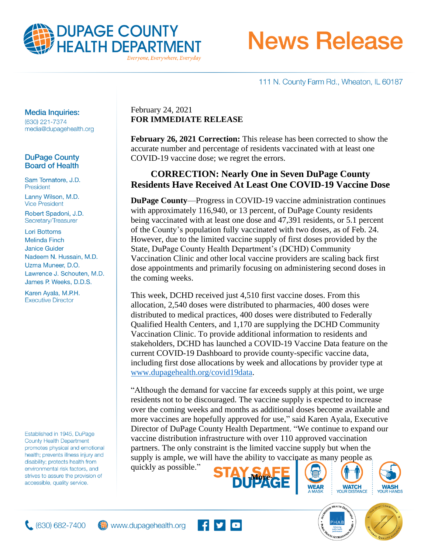

Everyone, Everywhere, Everyday

# **News Release**

111 N. County Farm Rd., Wheaton, IL 60187

## **Media Inquiries:**

(630) 221-7374 media@dupagehealth.org

## **DuPage County Board of Health**

Sam Tornatore, J.D. President Lanny Wilson, M.D. **Vice President** 

Robert Spadoni, J.D. Secretary/Treasurer

**Lori Bottoms Melinda Finch Janice Guider** Nadeem N. Hussain, M.D. Uzma Muneer, D.O. Lawrence J. Schouten, M.D. James P. Weeks, D.D.S.

Karen Ayala, M.P.H. **Executive Director** 

Established in 1945, DuPage **County Health Department** promotes physical and emotional health; prevents illness injury and disability; protects health from environmental risk factors, and strives to assure the provision of accessible, quality service.

## February 24, 2021 **FOR IMMEDIATE RELEASE**

**February 26, 2021 Correction:** This release has been corrected to show the accurate number and percentage of residents vaccinated with at least one COVID-19 vaccine dose; we regret the errors.

## **CORRECTION: Nearly One in Seven DuPage County Residents Have Received At Least One COVID-19 Vaccine Dose**

**DuPage County**—Progress in COVID-19 vaccine administration continues with approximately 116,940, or 13 percent, of DuPage County residents being vaccinated with at least one dose and 47,391 residents, or 5.1 percent of the County's population fully vaccinated with two doses, as of Feb. 24. However, due to the limited vaccine supply of first doses provided by the State, DuPage County Health Department's (DCHD) Community Vaccination Clinic and other local vaccine providers are scaling back first dose appointments and primarily focusing on administering second doses in the coming weeks.

This week, DCHD received just 4,510 first vaccine doses. From this allocation, 2,540 doses were distributed to pharmacies, 400 doses were distributed to medical practices, 400 doses were distributed to Federally Qualified Health Centers, and 1,170 are supplying the DCHD Community Vaccination Clinic. To provide additional information to residents and stakeholders, DCHD has launched a COVID-19 Vaccine Data feature on the current COVID-19 Dashboard to provide county-specific vaccine data, including first dose allocations by week and allocations by provider type at [www.dupagehealth.org/covid19data.](http://www.dupagehealth.org/covid19data)

"Although the demand for vaccine far exceeds supply at this point, we urge residents not to be discouraged. The vaccine supply is expected to increase over the coming weeks and months as additional doses become available and more vaccines are hopefully approved for use," said Karen Ayala, Executive Director of DuPage County Health Department. "We continue to expand our vaccine distribution infrastructure with over 110 approved vaccination partners. The only constraint is the limited vaccine supply but when the supply is ample, we will have the ability to vaccinate as many people as.

quickly as possible."











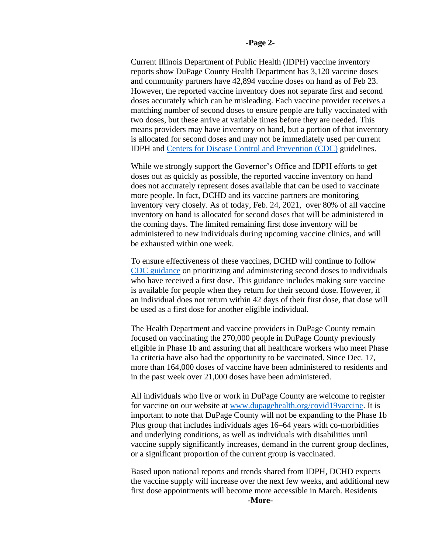#### **-Page 2-**

Current Illinois Department of Public Health (IDPH) vaccine inventory reports show DuPage County Health Department has 3,120 vaccine doses and community partners have 42,894 vaccine doses on hand as of Feb 23. However, the reported vaccine inventory does not separate first and second doses accurately which can be misleading. Each vaccine provider receives a matching number of second doses to ensure people are fully vaccinated with two doses, but these arrive at variable times before they are needed. This means providers may have inventory on hand, but a portion of that inventory is allocated for second doses and may not be immediately used per current IDPH and [Centers for Disease Control and Prevention \(CDC\)](https://www.cdc.gov/vaccines/covid-19/vaccine-inventory-management.html) guidelines.

While we strongly support the Governor's Office and IDPH efforts to get doses out as quickly as possible, the reported vaccine inventory on hand does not accurately represent doses available that can be used to vaccinate more people. In fact, DCHD and its vaccine partners are monitoring inventory very closely. As of today, Feb. 24, 2021, over 80% of all vaccine inventory on hand is allocated for second doses that will be administered in the coming days. The limited remaining first dose inventory will be administered to new individuals during upcoming vaccine clinics, and will be exhausted within one week.

To ensure effectiveness of these vaccines, DCHD will continue to follow [CDC guidance](https://www.cdc.gov/vaccines/covid-19/vaccine-inventory-management.html) on prioritizing and administering second doses to individuals who have received a first dose. This guidance includes making sure vaccine is available for people when they return for their second dose. However, if an individual does not return within 42 days of their first dose, that dose will be used as a first dose for another eligible individual.

The Health Department and vaccine providers in DuPage County remain focused on vaccinating the 270,000 people in DuPage County previously eligible in Phase 1b and assuring that all healthcare workers who meet Phase 1a criteria have also had the opportunity to be vaccinated. Since Dec. 17, more than 164,000 doses of vaccine have been administered to residents and in the past week over 21,000 doses have been administered.

All individuals who live or work in DuPage County are welcome to register for vaccine on our website at [www.dupagehealth.org/covid19vaccine.](http://www.dupagehealth.org/covid19vaccine) It is important to note that DuPage County will not be expanding to the Phase 1b Plus group that includes individuals ages 16–64 years with co-morbidities and underlying conditions, as well as individuals with disabilities until vaccine supply significantly increases, demand in the current group declines, or a significant proportion of the current group is vaccinated.

Based upon national reports and trends shared from IDPH, DCHD expects the vaccine supply will increase over the next few weeks, and additional new first dose appointments will become more accessible in March. Residents **-More-**